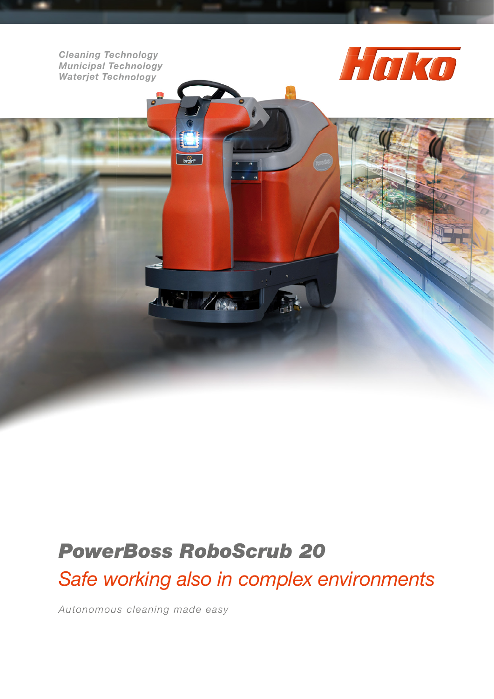*Cleaning Technology Municipal Technology Waterjet Technology*



## *PowerBoss RoboScrub 20*

SS 1976

*Safe working also in complex environments*

*Autonomous cleaning made easy*